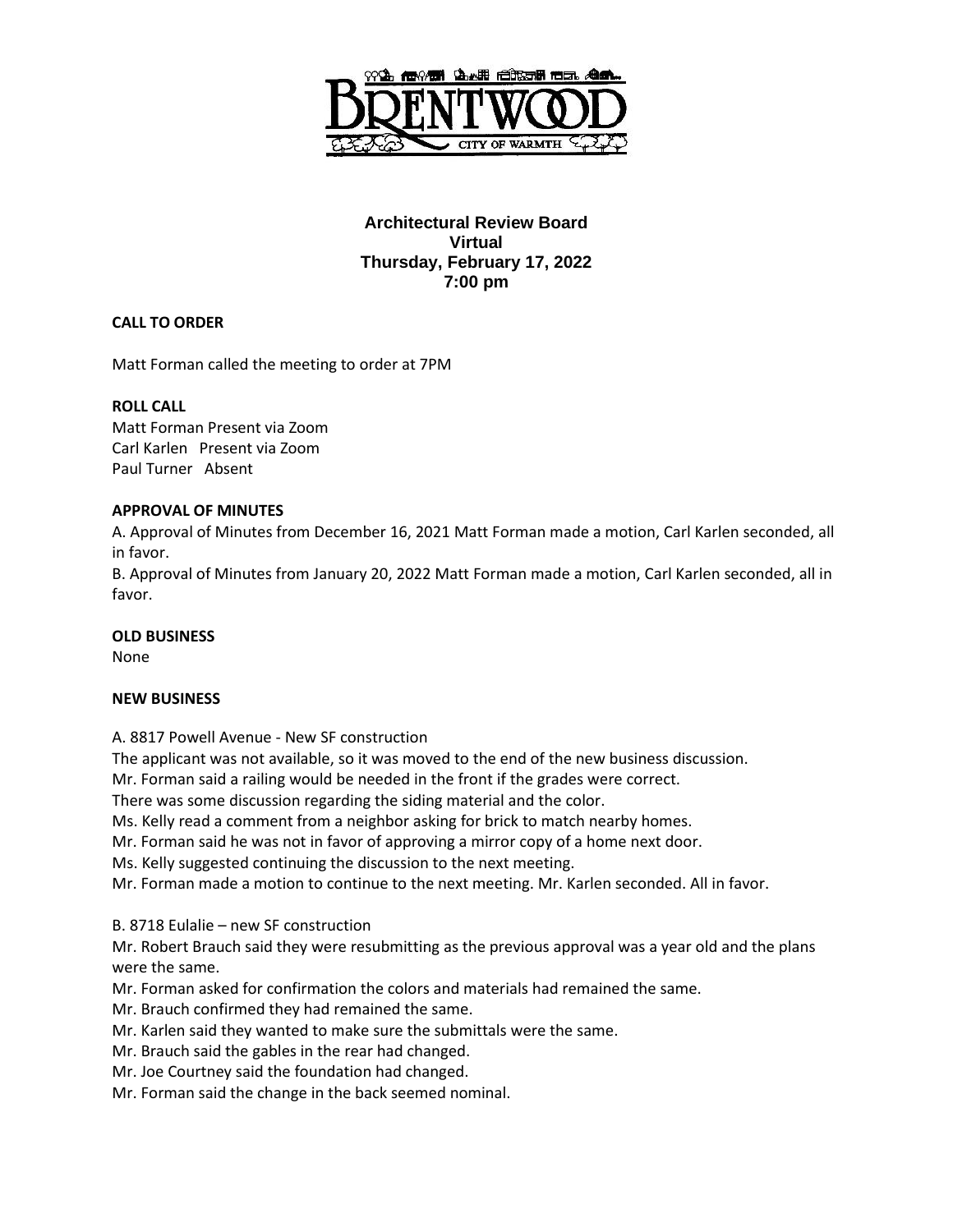

# **Architectural Review Board Virtual Thursday, February 17, 2022 7:00 pm**

## **CALL TO ORDER**

Matt Forman called the meeting to order at 7PM

### **ROLL CALL**

Matt Forman Present via Zoom Carl Karlen Present via Zoom Paul Turner Absent

### **APPROVAL OF MINUTES**

A. Approval of Minutes from December 16, 2021 Matt Forman made a motion, Carl Karlen seconded, all in favor.

B. Approval of Minutes from January 20, 2022 Matt Forman made a motion, Carl Karlen seconded, all in favor.

### **OLD BUSINESS**

None

### **NEW BUSINESS**

A. 8817 Powell Avenue - New SF construction

The applicant was not available, so it was moved to the end of the new business discussion.

Mr. Forman said a railing would be needed in the front if the grades were correct.

There was some discussion regarding the siding material and the color.

Ms. Kelly read a comment from a neighbor asking for brick to match nearby homes.

Mr. Forman said he was not in favor of approving a mirror copy of a home next door.

Ms. Kelly suggested continuing the discussion to the next meeting.

Mr. Forman made a motion to continue to the next meeting. Mr. Karlen seconded. All in favor.

B. 8718 Eulalie – new SF construction

Mr. Robert Brauch said they were resubmitting as the previous approval was a year old and the plans were the same.

Mr. Forman asked for confirmation the colors and materials had remained the same.

Mr. Brauch confirmed they had remained the same.

Mr. Karlen said they wanted to make sure the submittals were the same.

Mr. Brauch said the gables in the rear had changed.

Mr. Joe Courtney said the foundation had changed.

Mr. Forman said the change in the back seemed nominal.